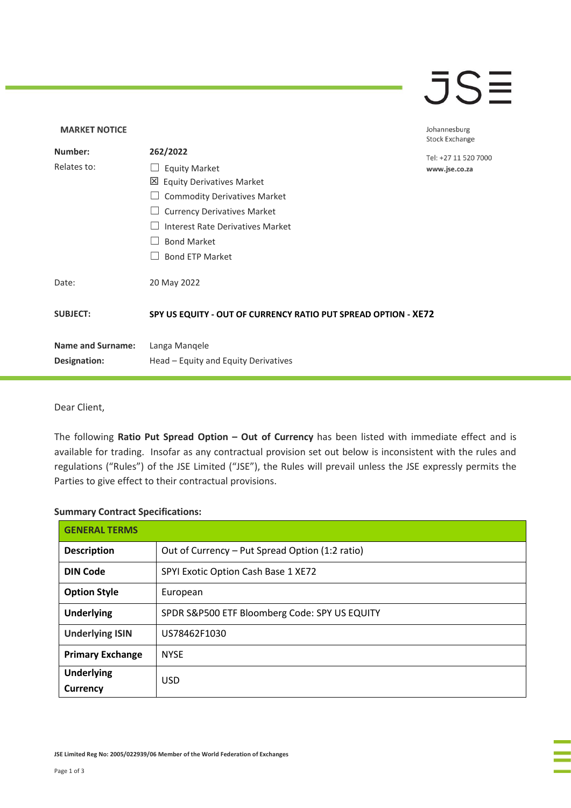### $\overline{\mathsf{J}}\mathsf{S}\overline{\mathsf{H}}$

### **MARKET NOTICE** Johannesburg **Stock Exchange Number: 262/2022** Tel: +27 11 520 7000 Relates to: □ Equity Market www.jse.co.za Equity Derivatives Market □ Commodity Derivatives Market □ Currency Derivatives Market ☐ Interest Rate Derivatives Market ☐ Bond Market □ Bond ETP Market Date: 20 May 2022 **SUBJECT: SPY US EQUITY - OUT OF CURRENCY RATIO PUT SPREAD OPTION - XE72 Name and Surname:** Langa Manqele **Designation:** Head – Equity and Equity Derivatives

Dear Client,

The following **Ratio Put Spread Option – Out of Currency** has been listed with immediate effect and is available for trading. Insofar as any contractual provision set out below is inconsistent with the rules and regulations ("Rules") of the JSE Limited ("JSE"), the Rules will prevail unless the JSE expressly permits the Parties to give effect to their contractual provisions.

#### **Summary Contract Specifications:**

| <b>GENERAL TERMS</b>          |                                                 |
|-------------------------------|-------------------------------------------------|
| <b>Description</b>            | Out of Currency - Put Spread Option (1:2 ratio) |
| <b>DIN Code</b>               | SPYI Exotic Option Cash Base 1 XE72             |
| <b>Option Style</b>           | European                                        |
| <b>Underlying</b>             | SPDR S&P500 ETF Bloomberg Code: SPY US EQUITY   |
| <b>Underlying ISIN</b>        | US78462F1030                                    |
| <b>Primary Exchange</b>       | <b>NYSE</b>                                     |
| <b>Underlying</b><br>Currency | <b>USD</b>                                      |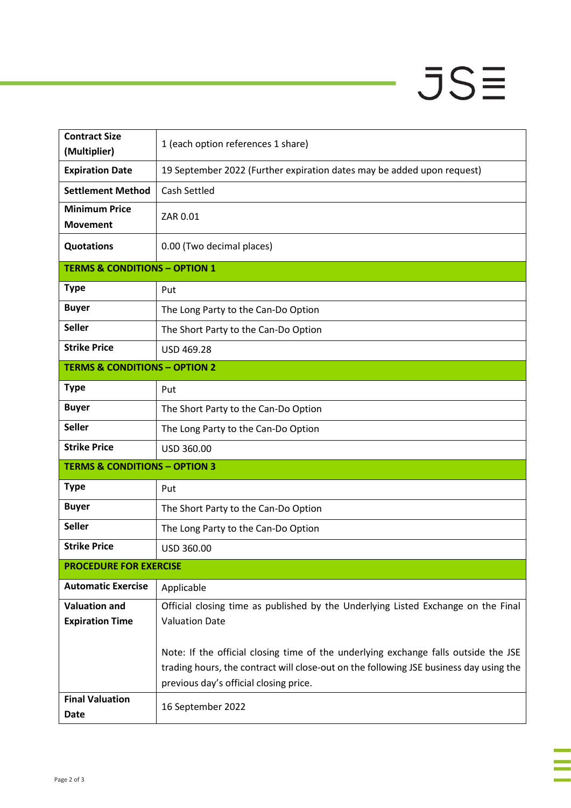# $JSE$

J,

| <b>Contract Size</b><br>(Multiplier)     | 1 (each option references 1 share)                                                                                                                                                                                      |  |
|------------------------------------------|-------------------------------------------------------------------------------------------------------------------------------------------------------------------------------------------------------------------------|--|
| <b>Expiration Date</b>                   | 19 September 2022 (Further expiration dates may be added upon request)                                                                                                                                                  |  |
| <b>Settlement Method</b>                 | <b>Cash Settled</b>                                                                                                                                                                                                     |  |
| <b>Minimum Price</b><br><b>Movement</b>  | ZAR 0.01                                                                                                                                                                                                                |  |
| <b>Quotations</b>                        | 0.00 (Two decimal places)                                                                                                                                                                                               |  |
| <b>TERMS &amp; CONDITIONS - OPTION 1</b> |                                                                                                                                                                                                                         |  |
| <b>Type</b>                              | Put                                                                                                                                                                                                                     |  |
| <b>Buyer</b>                             | The Long Party to the Can-Do Option                                                                                                                                                                                     |  |
| <b>Seller</b>                            | The Short Party to the Can-Do Option                                                                                                                                                                                    |  |
| <b>Strike Price</b>                      | USD 469.28                                                                                                                                                                                                              |  |
| <b>TERMS &amp; CONDITIONS - OPTION 2</b> |                                                                                                                                                                                                                         |  |
| <b>Type</b>                              | Put                                                                                                                                                                                                                     |  |
| <b>Buyer</b>                             | The Short Party to the Can-Do Option                                                                                                                                                                                    |  |
| <b>Seller</b>                            | The Long Party to the Can-Do Option                                                                                                                                                                                     |  |
| <b>Strike Price</b>                      | USD 360.00                                                                                                                                                                                                              |  |
| <b>TERMS &amp; CONDITIONS - OPTION 3</b> |                                                                                                                                                                                                                         |  |
| <b>Type</b>                              | Put                                                                                                                                                                                                                     |  |
| <b>Buyer</b>                             | The Short Party to the Can-Do Option                                                                                                                                                                                    |  |
| <b>Seller</b>                            | The Long Party to the Can-Do Option                                                                                                                                                                                     |  |
| <b>Strike Price</b>                      | USD 360.00                                                                                                                                                                                                              |  |
| <b>PROCEDURE FOR EXERCISE</b>            |                                                                                                                                                                                                                         |  |
| <b>Automatic Exercise</b>                | Applicable                                                                                                                                                                                                              |  |
| <b>Valuation and</b>                     | Official closing time as published by the Underlying Listed Exchange on the Final                                                                                                                                       |  |
| <b>Expiration Time</b>                   | <b>Valuation Date</b>                                                                                                                                                                                                   |  |
|                                          | Note: If the official closing time of the underlying exchange falls outside the JSE<br>trading hours, the contract will close-out on the following JSE business day using the<br>previous day's official closing price. |  |
| <b>Final Valuation</b><br>Date           | 16 September 2022                                                                                                                                                                                                       |  |